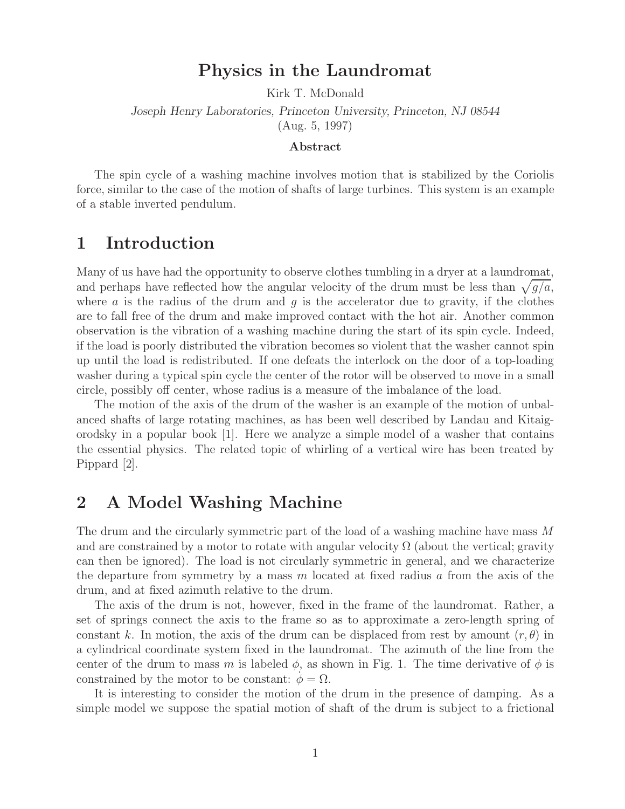## **Physics in the Laundromat**

Kirk T. McDonald

*Joseph Henry Laboratories, Princeton University, Princeton, NJ 08544* (Aug. 5, 1997)

#### **Abstract**

The spin cycle of a washing machine involves motion that is stabilized by the Coriolis force, similar to the case of the motion of shafts of large turbines. This system is an example of a stable inverted pendulum.

## **1 Introduction**

Many of us have had the opportunity to observe clothes tumbling in a dryer at a laundromat, and perhaps have reflected how the angular velocity of the drum must be less than  $\sqrt{g/a}$ , where  $\alpha$  is the radius of the drum and  $g$  is the accelerator due to gravity, if the clothes are to fall free of the drum and make improved contact with the hot air. Another common observation is the vibration of a washing machine during the start of its spin cycle. Indeed, if the load is poorly distributed the vibration becomes so violent that the washer cannot spin up until the load is redistributed. If one defeats the interlock on the door of a top-loading washer during a typical spin cycle the center of the rotor will be observed to move in a small circle, possibly off center, whose radius is a measure of the imbalance of the load.

The motion of the axis of the drum of the washer is an example of the motion of unbalanced shafts of large rotating machines, as has been well described by Landau and Kitaigorodsky in a popular book [1]. Here we analyze a simple model of a washer that contains the essential physics. The related topic of whirling of a vertical wire has been treated by Pippard [2].

# **2 A Model Washing Machine**

The drum and the circularly symmetric part of the load of a washing machine have mass M and are constrained by a motor to rotate with angular velocity  $\Omega$  (about the vertical; gravity can then be ignored). The load is not circularly symmetric in general, and we characterize the departure from symmetry by a mass  $m$  located at fixed radius  $a$  from the axis of the drum, and at fixed azimuth relative to the drum.

The axis of the drum is not, however, fixed in the frame of the laundromat. Rather, a set of springs connect the axis to the frame so as to approximate a zero-length spring of constant k. In motion, the axis of the drum can be displaced from rest by amount  $(r, \theta)$  in a cylindrical coordinate system fixed in the laundromat. The azimuth of the line from the center of the drum to mass m is labeled  $\phi$ , as shown in Fig. 1. The time derivative of  $\phi$  is constrained by the motor to be constant:  $\phi = \Omega$ .

It is interesting to consider the motion of the drum in the presence of damping. As a simple model we suppose the spatial motion of shaft of the drum is subject to a frictional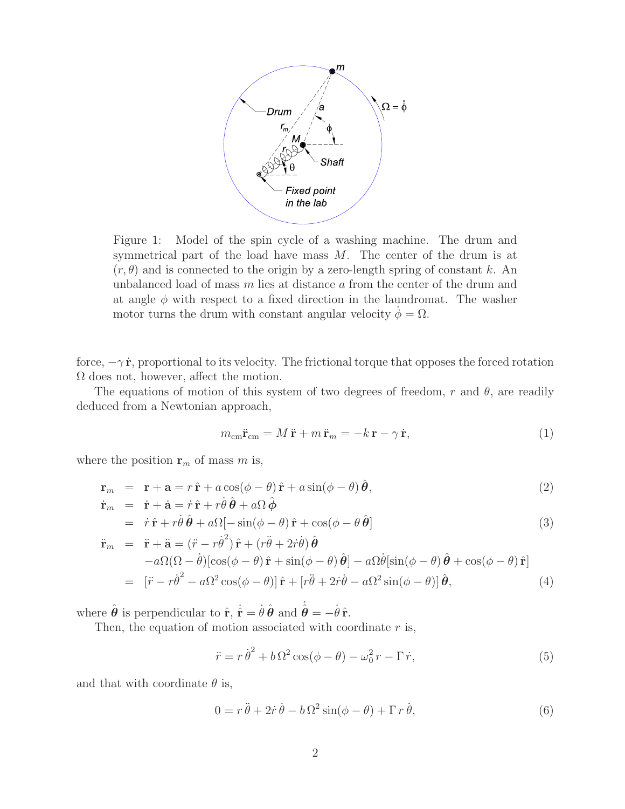

Figure 1: Model of the spin cycle of a washing machine. The drum and symmetrical part of the load have mass  $M$ . The center of the drum is at  $(r, \theta)$  and is connected to the origin by a zero-length spring of constant k. An unbalanced load of mass m lies at distance a from the center of the drum and at angle  $\phi$  with respect to a fixed direction in the laundromat. The washer motor turns the drum with constant angular velocity  $\phi = \Omega$ .

force,  $-\gamma \dot{\mathbf{r}}$ , proportional to its velocity. The frictional torque that opposes the forced rotation Ω does not, however, affect the motion.

The equations of motion of this system of two degrees of freedom, r and  $\theta$ , are readily deduced from a Newtonian approach,

$$
m_{\text{cm}}\ddot{\mathbf{r}}_{\text{cm}} = M\ddot{\mathbf{r}} + m\ddot{\mathbf{r}}_m = -k\,\mathbf{r} - \gamma\,\dot{\mathbf{r}},\tag{1}
$$

where the position  $\mathbf{r}_m$  of mass m is,

$$
\mathbf{r}_m = \mathbf{r} + \mathbf{a} = r\,\hat{\mathbf{r}} + a\cos(\phi - \theta)\,\hat{\mathbf{r}} + a\sin(\phi - \theta)\,\hat{\boldsymbol{\theta}},\tag{2}
$$

$$
\dot{\mathbf{r}}_{m} = \dot{\mathbf{r}} + \dot{\mathbf{a}} = \dot{r}\,\hat{\mathbf{r}} + r\dot{\theta}\,\hat{\boldsymbol{\theta}} + a\Omega\,\hat{\boldsymbol{\phi}} \n= \dot{r}\,\hat{\mathbf{r}} + r\dot{\theta}\,\hat{\boldsymbol{\theta}} + a\Omega[-\sin(\phi - \theta)\,\hat{\mathbf{r}} + \cos(\phi - \theta\,\hat{\boldsymbol{\theta}})]
$$
\n(3)

$$
\ddot{\mathbf{r}}_{m} = \ddot{\mathbf{r}} + \ddot{\mathbf{a}} = (\ddot{r} - r\dot{\theta}^{2})\hat{\mathbf{r}} + (r\ddot{\theta} + 2\dot{r}\dot{\theta})\hat{\boldsymbol{\theta}} \n- a\Omega(\Omega - \dot{\theta})\left[\cos(\phi - \theta)\hat{\mathbf{r}} + \sin(\phi - \theta)\hat{\boldsymbol{\theta}}\right] - a\Omega\dot{\theta}\left[\sin(\phi - \theta)\hat{\boldsymbol{\theta}} + \cos(\phi - \theta)\hat{\mathbf{r}}\right] \n= \left[\ddot{r} - r\dot{\theta}^{2} - a\Omega^{2}\cos(\phi - \theta)\right]\hat{\mathbf{r}} + \left[r\ddot{\theta} + 2\dot{r}\dot{\theta} - a\Omega^{2}\sin(\phi - \theta)\right]\hat{\boldsymbol{\theta}},
$$
\n(4)

where  $\hat{\theta}$  is perpendicular to  $\hat{\mathbf{r}}, \dot{\hat{\mathbf{r}}} = \dot{\theta} \hat{\theta}$  and  $\dot{\hat{\theta}} = -\dot{\theta} \hat{\mathbf{r}}$ .<br>Then the equation of motion associated with coordinated

Then, the equation of motion associated with coordinate  $r$  is,

$$
\ddot{r} = r\dot{\theta}^2 + b\Omega^2 \cos(\phi - \theta) - \omega_0^2 r - \Gamma \dot{r},\tag{5}
$$

and that with coordinate  $\theta$  is,

$$
0 = r\ddot{\theta} + 2\dot{r}\dot{\theta} - b\Omega^2\sin(\phi - \theta) + \Gamma r\dot{\theta},
$$
\n(6)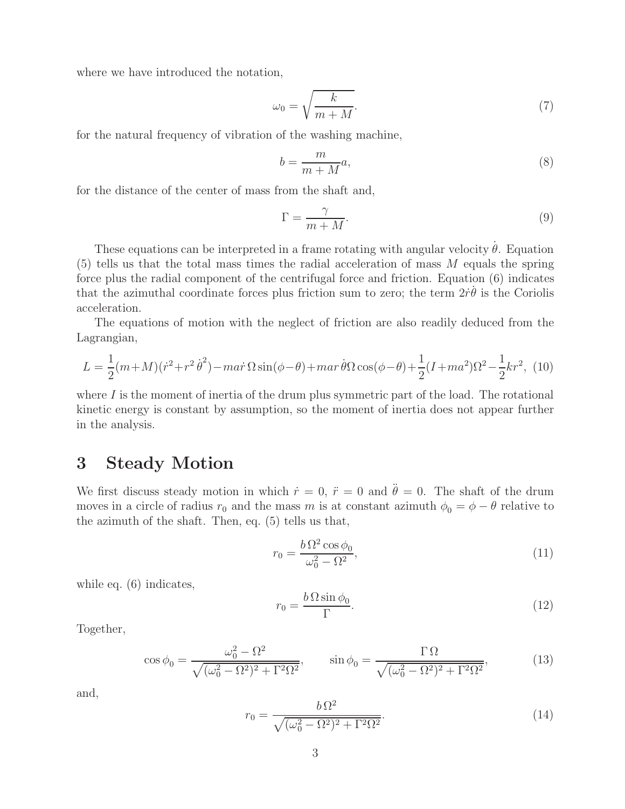where we have introduced the notation,

$$
\omega_0 = \sqrt{\frac{k}{m+M}}.\tag{7}
$$

for the natural frequency of vibration of the washing machine,

$$
b = \frac{m}{m+M}a,\tag{8}
$$

for the distance of the center of mass from the shaft and,

$$
\Gamma = \frac{\gamma}{m+M}.\tag{9}
$$

These equations can be interpreted in a frame rotating with angular velocity  $\dot{\theta}$ . Equation tells us that the total mass times the radial acceleration of mass M equals the spring  $(5)$  tells us that the total mass times the radial acceleration of mass M equals the spring force plus the radial component of the centrifugal force and friction. Equation (6) indicates that the azimuthal coordinate forces plus friction sum to zero; the term  $2\dot{r}\dot{\theta}$  is the Coriolis acceleration acceleration.

The equations of motion with the neglect of friction are also readily deduced from the Lagrangian,

$$
L = \frac{1}{2}(m+M)(\dot{r}^2 + r^2\dot{\theta}^2) - \dot{m}a\dot{r}\Omega\sin(\phi-\theta) + \dot{m}a\dot{r}\dot{\theta}\Omega\cos(\phi-\theta) + \frac{1}{2}(I + ma^2)\Omega^2 - \frac{1}{2}kr^2,\tag{10}
$$

where  $I$  is the moment of inertia of the drum plus symmetric part of the load. The rotational kinetic energy is constant by assumption, so the moment of inertia does not appear further in the analysis.

### **3 Steady Motion**

We first discuss steady motion in which  $\dot{r} = 0$ ,  $\ddot{r} = 0$  and  $\ddot{\theta} = 0$ . The shaft of the drum moves in a circle of radius  $r_0$  and the mass m is at constant azimuth  $\phi_0 = \phi - \theta$  relative to the azimuth of the shaft. Then, eq. (5) tells us that,

$$
r_0 = \frac{b\,\Omega^2\cos\phi_0}{\omega_0^2 - \Omega^2},\tag{11}
$$

while eq.  $(6)$  indicates,

$$
r_0 = \frac{b\,\Omega\sin\phi_0}{\Gamma}.\tag{12}
$$

Together,

$$
\cos \phi_0 = \frac{\omega_0^2 - \Omega^2}{\sqrt{(\omega_0^2 - \Omega^2)^2 + \Gamma^2 \Omega^2}}, \qquad \sin \phi_0 = \frac{\Gamma \Omega}{\sqrt{(\omega_0^2 - \Omega^2)^2 + \Gamma^2 \Omega^2}}, \tag{13}
$$

and,

$$
r_0 = \frac{b\,\Omega^2}{\sqrt{(\omega_0^2 - \Omega^2)^2 + \Gamma^2 \Omega^2}}.\tag{14}
$$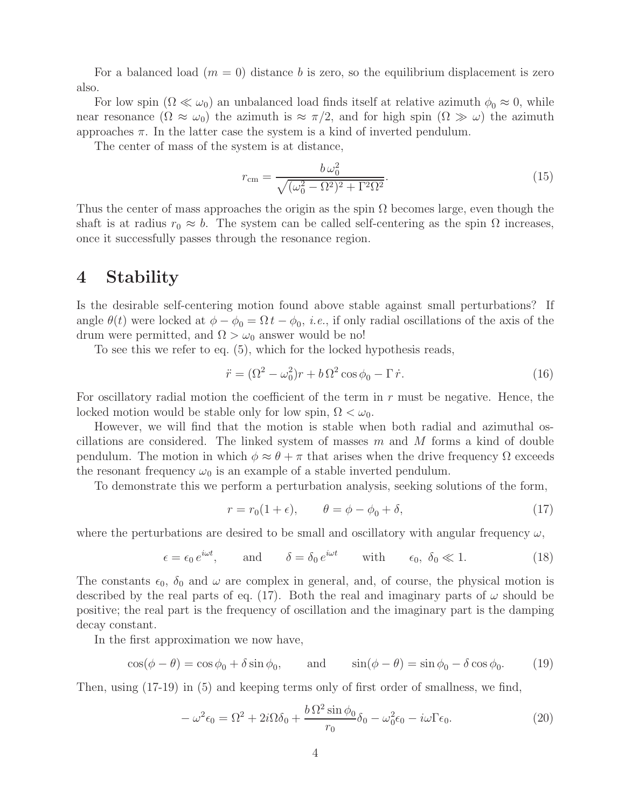For a balanced load  $(m = 0)$  distance b is zero, so the equilibrium displacement is zero also.

For low spin  $(\Omega \ll \omega_0)$  an unbalanced load finds itself at relative azimuth  $\phi_0 \approx 0$ , while<br>r resonance  $(\Omega \approx \omega_0)$  the azimuth is  $\approx \pi/2$  and for high spin  $(\Omega \gg \omega)$  the azimuth near resonance  $(\Omega \approx \omega_0)$  the azimuth is  $\approx \pi/2$ , and for high spin  $(\Omega \gg \omega)$  the azimuth approaches  $\pi$ . In the latter case the system is a kind of inverted pendulum.

The center of mass of the system is at distance,

$$
r_{\rm cm} = \frac{b\,\omega_0^2}{\sqrt{(\omega_0^2 - \Omega^2)^2 + \Gamma^2 \Omega^2}}.\tag{15}
$$

Thus the center of mass approaches the origin as the spin  $\Omega$  becomes large, even though the shaft is at radius  $r_0 \approx b$ . The system can be called self-centering as the spin  $\Omega$  increases, once it successfully passes through the resonance region.

#### **4 Stability**

Is the desirable self-centering motion found above stable against small perturbations? If angle  $\theta(t)$  were locked at  $\phi - \phi_0 = \Omega t - \phi_0$ , *i.e.*, if only radial oscillations of the axis of the drum were permitted, and  $\Omega > \omega_0$  answer would be no!

To see this we refer to eq. (5), which for the locked hypothesis reads,

$$
\ddot{r} = (\Omega^2 - \omega_0^2)r + b\,\Omega^2\cos\phi_0 - \Gamma\,\dot{r}.\tag{16}
$$

For oscillatory radial motion the coefficient of the term in r must be negative. Hence, the locked motion would be stable only for low spin,  $\Omega < \omega_0$ .

However, we will find that the motion is stable when both radial and azimuthal oscillations are considered. The linked system of masses  $m$  and  $M$  forms a kind of double pendulum. The motion in which  $\phi \approx \theta + \pi$  that arises when the drive frequency  $\Omega$  exceeds the resonant frequency  $\omega_0$  is an example of a stable inverted pendulum.

To demonstrate this we perform a perturbation analysis, seeking solutions of the form,

$$
r = r_0(1 + \epsilon), \qquad \theta = \phi - \phi_0 + \delta,
$$
\n(17)

where the perturbations are desired to be small and oscillatory with angular frequency  $\omega$ ,

$$
\epsilon = \epsilon_0 e^{i\omega t}, \quad \text{and} \quad \delta = \delta_0 e^{i\omega t} \quad \text{with} \quad \epsilon_0, \ \delta_0 \ll 1. \tag{18}
$$

The constants  $\epsilon_0$ ,  $\delta_0$  and  $\omega$  are complex in general, and, of course, the physical motion is described by the real parts of eq. (17). Both the real and imaginary parts of  $\omega$  should be positive; the real part is the frequency of oscillation and the imaginary part is the damping decay constant.

In the first approximation we now have,

$$
\cos(\phi - \theta) = \cos\phi_0 + \delta\sin\phi_0, \quad \text{and} \quad \sin(\phi - \theta) = \sin\phi_0 - \delta\cos\phi_0. \quad (19)
$$

Then, using (17-19) in (5) and keeping terms only of first order of smallness, we find,

$$
-\omega^2 \epsilon_0 = \Omega^2 + 2i\Omega \delta_0 + \frac{b\Omega^2 \sin \phi_0}{r_0} \delta_0 - \omega_0^2 \epsilon_0 - i\omega \Gamma \epsilon_0.
$$
 (20)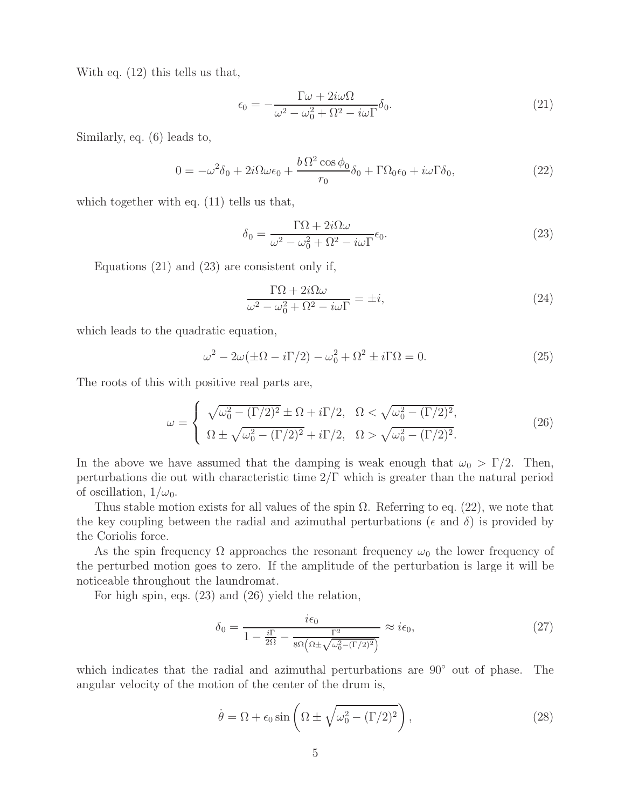With eq. (12) this tells us that,

$$
\epsilon_0 = -\frac{\Gamma \omega + 2i\omega \Omega}{\omega^2 - \omega_0^2 + \Omega^2 - i\omega \Gamma} \delta_0.
$$
\n(21)

Similarly, eq. (6) leads to,

$$
0 = -\omega^2 \delta_0 + 2i\Omega\omega\epsilon_0 + \frac{b\,\Omega^2\cos\phi_0}{r_0}\delta_0 + \Gamma\Omega_0\epsilon_0 + i\omega\Gamma\delta_0,\tag{22}
$$

which together with eq.  $(11)$  tells us that,

$$
\delta_0 = \frac{\Gamma \Omega + 2i\Omega \omega}{\omega^2 - \omega_0^2 + \Omega^2 - i\omega \Gamma} \epsilon_0.
$$
\n(23)

Equations (21) and (23) are consistent only if,

$$
\frac{\Gamma \Omega + 2i\Omega \omega}{\omega^2 - \omega_0^2 + \Omega^2 - i\omega \Gamma} = \pm i,
$$
\n(24)

which leads to the quadratic equation,

$$
\omega^2 - 2\omega(\pm\Omega - i\Gamma/2) - \omega_0^2 + \Omega^2 \pm i\Gamma\Omega = 0.
$$
 (25)

The roots of this with positive real parts are,

$$
\omega = \begin{cases}\n\sqrt{\omega_0^2 - (\Gamma/2)^2} \pm \Omega + i\Gamma/2, & \Omega < \sqrt{\omega_0^2 - (\Gamma/2)^2}, \\
\Omega \pm \sqrt{\omega_0^2 - (\Gamma/2)^2} + i\Gamma/2, & \Omega > \sqrt{\omega_0^2 - (\Gamma/2)^2}.\n\end{cases}
$$
\n(26)

In the above we have assumed that the damping is weak enough that  $\omega_0 > \Gamma/2$ . Then, perturbations die out with characteristic time 2/Γ which is greater than the natural period of oscillation,  $1/\omega_0$ .

Thus stable motion exists for all values of the spin  $\Omega$ . Referring to eq. (22), we note that the key coupling between the radial and azimuthal perturbations ( $\epsilon$  and  $\delta$ ) is provided by the Coriolis force.

As the spin frequency  $\Omega$  approaches the resonant frequency  $\omega_0$  the lower frequency of the perturbed motion goes to zero. If the amplitude of the perturbation is large it will be noticeable throughout the laundromat.

For high spin, eqs. (23) and (26) yield the relation,

$$
\delta_0 = \frac{i\epsilon_0}{1 - \frac{i\Gamma}{2\Omega} - \frac{\Gamma^2}{8\Omega\left(\Omega \pm \sqrt{\omega_0^2 - (\Gamma/2)^2}\right)}} \approx i\epsilon_0,\tag{27}
$$

which indicates that the radial and azimuthal perturbations are 90◦ out of phase. The angular velocity of the motion of the center of the drum is,

$$
\dot{\theta} = \Omega + \epsilon_0 \sin \left( \Omega \pm \sqrt{\omega_0^2 - (\Gamma/2)^2} \right),\tag{28}
$$